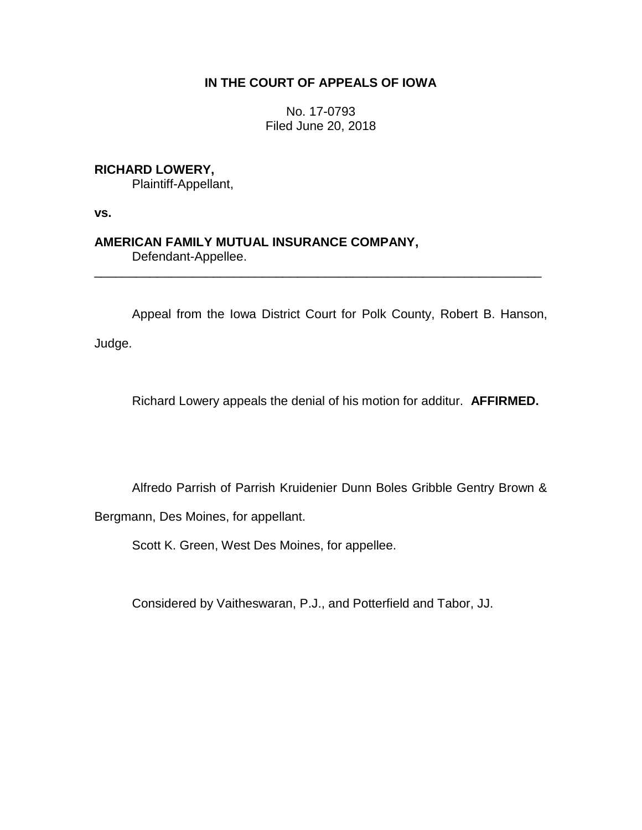## **IN THE COURT OF APPEALS OF IOWA**

No. 17-0793 Filed June 20, 2018

## **RICHARD LOWERY,**

Plaintiff-Appellant,

**vs.**

## **AMERICAN FAMILY MUTUAL INSURANCE COMPANY,**

Defendant-Appellee.

Appeal from the Iowa District Court for Polk County, Robert B. Hanson,

\_\_\_\_\_\_\_\_\_\_\_\_\_\_\_\_\_\_\_\_\_\_\_\_\_\_\_\_\_\_\_\_\_\_\_\_\_\_\_\_\_\_\_\_\_\_\_\_\_\_\_\_\_\_\_\_\_\_\_\_\_\_\_\_

Judge.

Richard Lowery appeals the denial of his motion for additur. **AFFIRMED.**

Alfredo Parrish of Parrish Kruidenier Dunn Boles Gribble Gentry Brown &

Bergmann, Des Moines, for appellant.

Scott K. Green, West Des Moines, for appellee.

Considered by Vaitheswaran, P.J., and Potterfield and Tabor, JJ.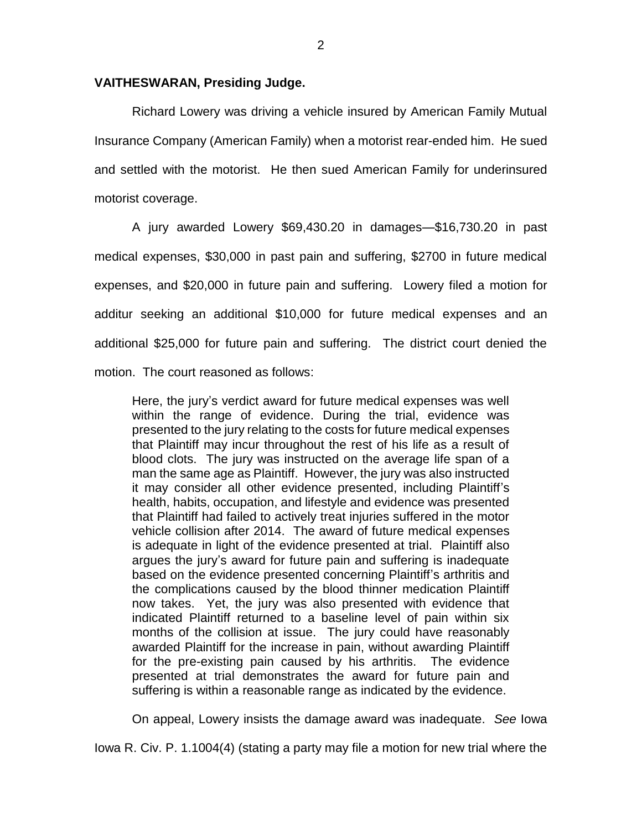## **VAITHESWARAN, Presiding Judge.**

Richard Lowery was driving a vehicle insured by American Family Mutual Insurance Company (American Family) when a motorist rear-ended him. He sued and settled with the motorist. He then sued American Family for underinsured motorist coverage.

A jury awarded Lowery \$69,430.20 in damages—\$16,730.20 in past medical expenses, \$30,000 in past pain and suffering, \$2700 in future medical expenses, and \$20,000 in future pain and suffering. Lowery filed a motion for additur seeking an additional \$10,000 for future medical expenses and an additional \$25,000 for future pain and suffering. The district court denied the motion. The court reasoned as follows:

Here, the jury's verdict award for future medical expenses was well within the range of evidence. During the trial, evidence was presented to the jury relating to the costs for future medical expenses that Plaintiff may incur throughout the rest of his life as a result of blood clots. The jury was instructed on the average life span of a man the same age as Plaintiff. However, the jury was also instructed it may consider all other evidence presented, including Plaintiff's health, habits, occupation, and lifestyle and evidence was presented that Plaintiff had failed to actively treat injuries suffered in the motor vehicle collision after 2014. The award of future medical expenses is adequate in light of the evidence presented at trial. Plaintiff also argues the jury's award for future pain and suffering is inadequate based on the evidence presented concerning Plaintiff's arthritis and the complications caused by the blood thinner medication Plaintiff now takes. Yet, the jury was also presented with evidence that indicated Plaintiff returned to a baseline level of pain within six months of the collision at issue. The jury could have reasonably awarded Plaintiff for the increase in pain, without awarding Plaintiff for the pre-existing pain caused by his arthritis. The evidence presented at trial demonstrates the award for future pain and suffering is within a reasonable range as indicated by the evidence.

On appeal, Lowery insists the damage award was inadequate. *See* Iowa

Iowa R. Civ. P. 1.1004(4) (stating a party may file a motion for new trial where the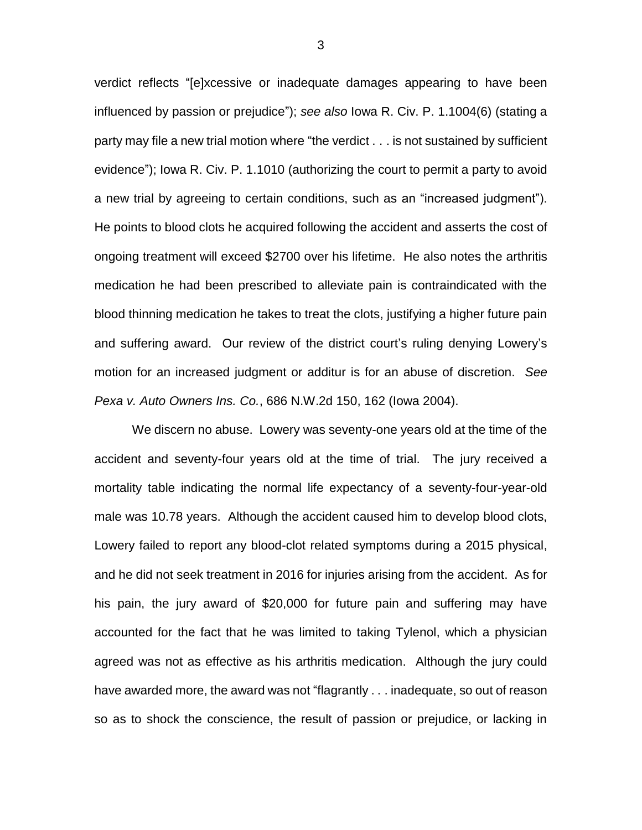verdict reflects "[e]xcessive or inadequate damages appearing to have been influenced by passion or prejudice"); *see also* Iowa R. Civ. P. 1.1004(6) (stating a party may file a new trial motion where "the verdict . . . is not sustained by sufficient evidence"); Iowa R. Civ. P. 1.1010 (authorizing the court to permit a party to avoid a new trial by agreeing to certain conditions, such as an "increased judgment"). He points to blood clots he acquired following the accident and asserts the cost of ongoing treatment will exceed \$2700 over his lifetime. He also notes the arthritis medication he had been prescribed to alleviate pain is contraindicated with the blood thinning medication he takes to treat the clots, justifying a higher future pain and suffering award. Our review of the district court's ruling denying Lowery's motion for an increased judgment or additur is for an abuse of discretion. *See Pexa v. Auto Owners Ins. Co.*, 686 N.W.2d 150, 162 (Iowa 2004).

We discern no abuse. Lowery was seventy-one years old at the time of the accident and seventy-four years old at the time of trial. The jury received a mortality table indicating the normal life expectancy of a seventy-four-year-old male was 10.78 years. Although the accident caused him to develop blood clots, Lowery failed to report any blood-clot related symptoms during a 2015 physical, and he did not seek treatment in 2016 for injuries arising from the accident. As for his pain, the jury award of \$20,000 for future pain and suffering may have accounted for the fact that he was limited to taking Tylenol, which a physician agreed was not as effective as his arthritis medication. Although the jury could have awarded more, the award was not "flagrantly . . . inadequate, so out of reason so as to shock the conscience, the result of passion or prejudice, or lacking in

3